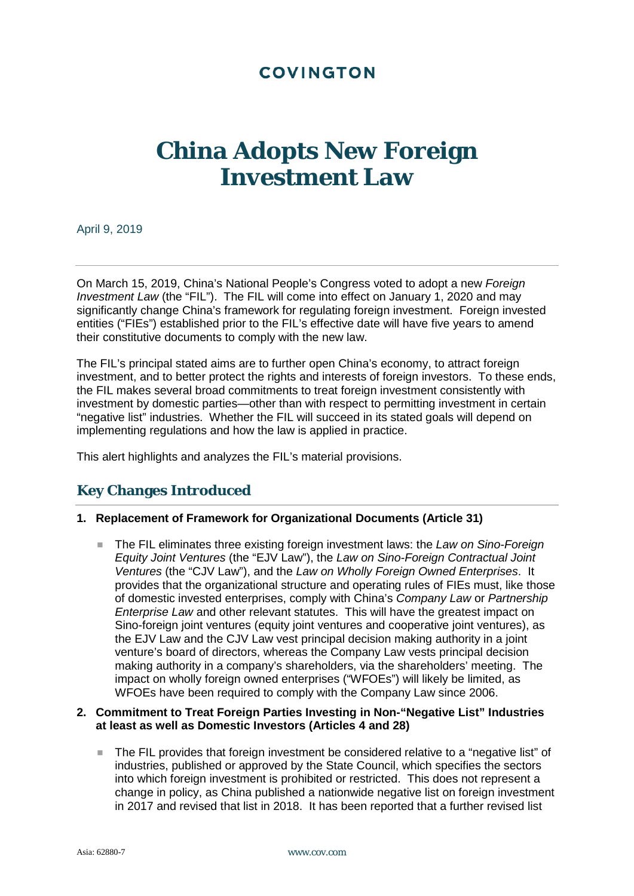# **COVINGTON**

# **China Adopts New Foreign Investment Law**

April 9, 2019

On March 15, 2019, China's National People's Congress voted to adopt a new *Foreign Investment Law* (the "FIL"). The FIL will come into effect on January 1, 2020 and may significantly change China's framework for regulating foreign investment. Foreign invested entities ("FIEs") established prior to the FIL's effective date will have five years to amend their constitutive documents to comply with the new law.

The FIL's principal stated aims are to further open China's economy, to attract foreign investment, and to better protect the rights and interests of foreign investors. To these ends, the FIL makes several broad commitments to treat foreign investment consistently with investment by domestic parties—other than with respect to permitting investment in certain "negative list" industries. Whether the FIL will succeed in its stated goals will depend on implementing regulations and how the law is applied in practice.

This alert highlights and analyzes the FIL's material provisions.

# **Key Changes Introduced**

#### **1. Replacement of Framework for Organizational Documents (Article 31)**

■ The FIL eliminates three existing foreign investment laws: the *Law on Sino-Foreign Equity Joint Ventures* (the "EJV Law"), the *Law on Sino-Foreign Contractual Joint Ventures* (the "CJV Law"), and the *Law on Wholly Foreign Owned Enterprises*. It provides that the organizational structure and operating rules of FIEs must, like those of domestic invested enterprises, comply with China's *Company Law* or *Partnership Enterprise Law* and other relevant statutes. This will have the greatest impact on Sino-foreign joint ventures (equity joint ventures and cooperative joint ventures), as the EJV Law and the CJV Law vest principal decision making authority in a joint venture's board of directors, whereas the Company Law vests principal decision making authority in a company's shareholders, via the shareholders' meeting. The impact on wholly foreign owned enterprises ("WFOEs") will likely be limited, as WFOEs have been required to comply with the Company Law since 2006.

#### **2. Commitment to Treat Foreign Parties Investing in Non-"Negative List" Industries at least as well as Domestic Investors (Articles 4 and 28)**

 The FIL provides that foreign investment be considered relative to a "negative list" of industries, published or approved by the State Council, which specifies the sectors into which foreign investment is prohibited or restricted. This does not represent a change in policy, as China published a nationwide negative list on foreign investment in 2017 and revised that list in 2018. It has been reported that a further revised list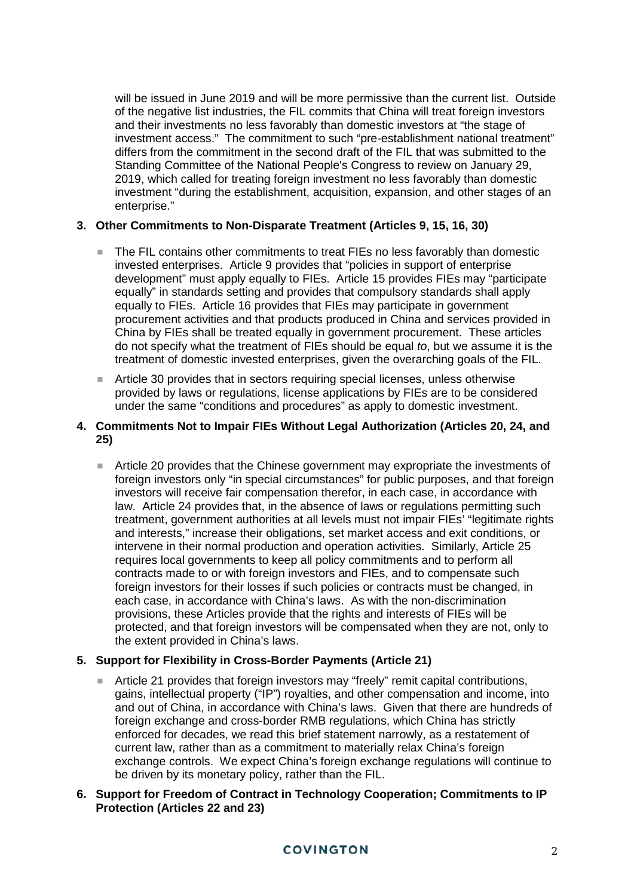will be issued in June 2019 and will be more permissive than the current list. Outside of the negative list industries, the FIL commits that China will treat foreign investors and their investments no less favorably than domestic investors at "the stage of investment access." The commitment to such "pre-establishment national treatment" differs from the commitment in the second draft of the FIL that was submitted to the Standing Committee of the National People's Congress to review on January 29, 2019, which called for treating foreign investment no less favorably than domestic investment "during the establishment, acquisition, expansion, and other stages of an enterprise."

#### **3. Other Commitments to Non-Disparate Treatment (Articles 9, 15, 16, 30)**

- The FIL contains other commitments to treat FIEs no less favorably than domestic invested enterprises. Article 9 provides that "policies in support of enterprise development" must apply equally to FIEs. Article 15 provides FIEs may "participate equally" in standards setting and provides that compulsory standards shall apply equally to FIEs. Article 16 provides that FIEs may participate in government procurement activities and that products produced in China and services provided in China by FIEs shall be treated equally in government procurement. These articles do not specify what the treatment of FIEs should be equal *to*, but we assume it is the treatment of domestic invested enterprises, given the overarching goals of the FIL.
- Article 30 provides that in sectors requiring special licenses, unless otherwise provided by laws or regulations, license applications by FIEs are to be considered under the same "conditions and procedures" as apply to domestic investment.

#### **4. Commitments Not to Impair FIEs Without Legal Authorization (Articles 20, 24, and 25)**

 Article 20 provides that the Chinese government may expropriate the investments of foreign investors only "in special circumstances" for public purposes, and that foreign investors will receive fair compensation therefor, in each case, in accordance with law. Article 24 provides that, in the absence of laws or regulations permitting such treatment, government authorities at all levels must not impair FIEs' "legitimate rights and interests," increase their obligations, set market access and exit conditions, or intervene in their normal production and operation activities. Similarly, Article 25 requires local governments to keep all policy commitments and to perform all contracts made to or with foreign investors and FIEs, and to compensate such foreign investors for their losses if such policies or contracts must be changed, in each case, in accordance with China's laws. As with the non-discrimination provisions, these Articles provide that the rights and interests of FIEs will be protected, and that foreign investors will be compensated when they are not, only to the extent provided in China's laws.

## **5. Support for Flexibility in Cross-Border Payments (Article 21)**

Article 21 provides that foreign investors may "freely" remit capital contributions, gains, intellectual property ("IP") royalties, and other compensation and income, into and out of China, in accordance with China's laws. Given that there are hundreds of foreign exchange and cross-border RMB regulations, which China has strictly enforced for decades, we read this brief statement narrowly, as a restatement of current law, rather than as a commitment to materially relax China's foreign exchange controls. We expect China's foreign exchange regulations will continue to be driven by its monetary policy, rather than the FIL.

#### **6. Support for Freedom of Contract in Technology Cooperation; Commitments to IP Protection (Articles 22 and 23)**

## **COVINGTON**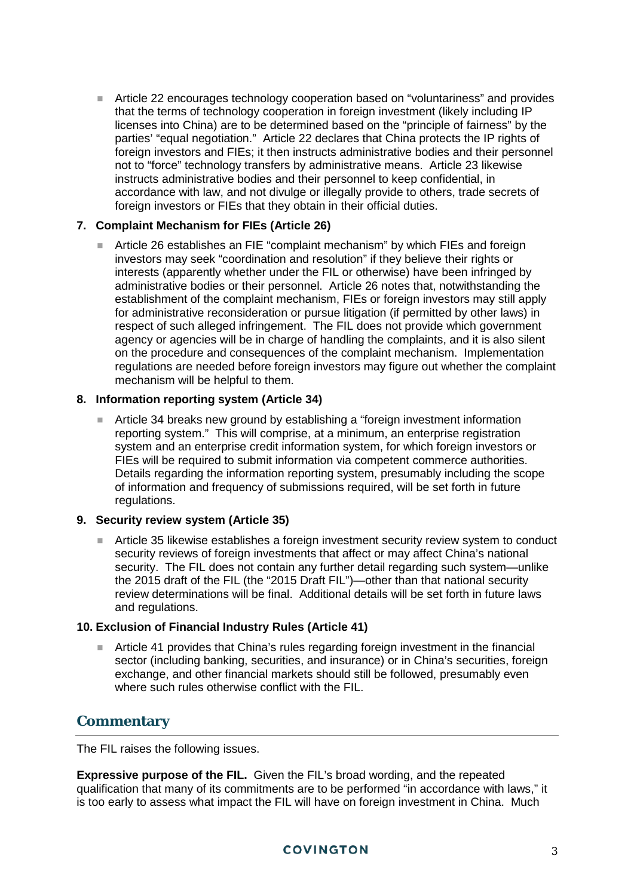Article 22 encourages technology cooperation based on "voluntariness" and provides that the terms of technology cooperation in foreign investment (likely including IP licenses into China) are to be determined based on the "principle of fairness" by the parties' "equal negotiation." Article 22 declares that China protects the IP rights of foreign investors and FIEs; it then instructs administrative bodies and their personnel not to "force" technology transfers by administrative means. Article 23 likewise instructs administrative bodies and their personnel to keep confidential, in accordance with law, and not divulge or illegally provide to others, trade secrets of foreign investors or FIEs that they obtain in their official duties.

#### **7. Complaint Mechanism for FIEs (Article 26)**

 Article 26 establishes an FIE "complaint mechanism" by which FIEs and foreign investors may seek "coordination and resolution" if they believe their rights or interests (apparently whether under the FIL or otherwise) have been infringed by administrative bodies or their personnel. Article 26 notes that, notwithstanding the establishment of the complaint mechanism, FIEs or foreign investors may still apply for administrative reconsideration or pursue litigation (if permitted by other laws) in respect of such alleged infringement. The FIL does not provide which government agency or agencies will be in charge of handling the complaints, and it is also silent on the procedure and consequences of the complaint mechanism. Implementation regulations are needed before foreign investors may figure out whether the complaint mechanism will be helpful to them.

### **8. Information reporting system (Article 34)**

■ Article 34 breaks new ground by establishing a "foreign investment information reporting system." This will comprise, at a minimum, an enterprise registration system and an enterprise credit information system, for which foreign investors or FIEs will be required to submit information via competent commerce authorities. Details regarding the information reporting system, presumably including the scope of information and frequency of submissions required, will be set forth in future regulations.

#### **9. Security review system (Article 35)**

 Article 35 likewise establishes a foreign investment security review system to conduct security reviews of foreign investments that affect or may affect China's national security. The FIL does not contain any further detail regarding such system—unlike the 2015 draft of the FIL (the "2015 Draft FIL")—other than that national security review determinations will be final. Additional details will be set forth in future laws and regulations.

#### **10. Exclusion of Financial Industry Rules (Article 41)**

 Article 41 provides that China's rules regarding foreign investment in the financial sector (including banking, securities, and insurance) or in China's securities, foreign exchange, and other financial markets should still be followed, presumably even where such rules otherwise conflict with the FIL.

## **Commentary**

The FIL raises the following issues.

**Expressive purpose of the FIL.** Given the FIL's broad wording, and the repeated qualification that many of its commitments are to be performed "in accordance with laws," it is too early to assess what impact the FIL will have on foreign investment in China. Much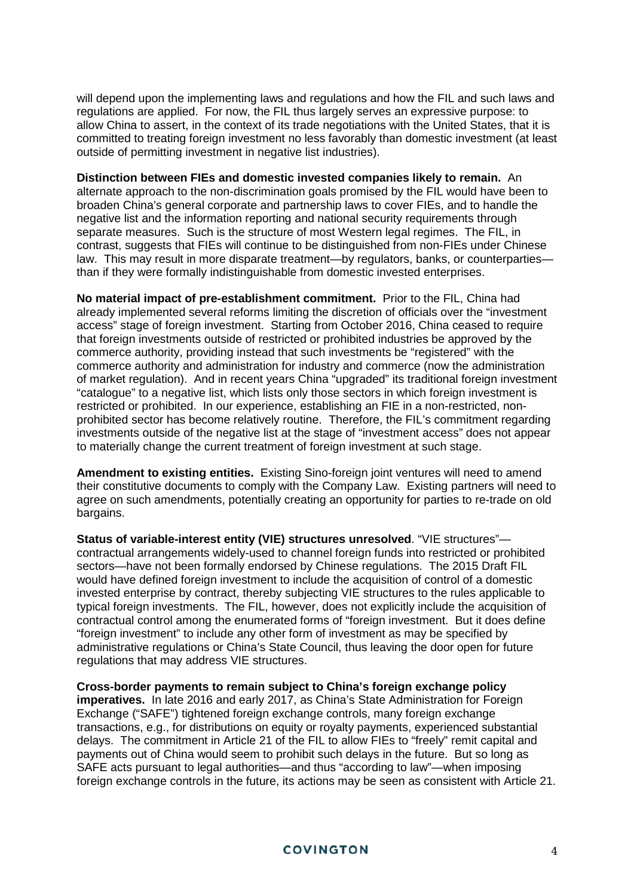will depend upon the implementing laws and regulations and how the FIL and such laws and regulations are applied. For now, the FIL thus largely serves an expressive purpose: to allow China to assert, in the context of its trade negotiations with the United States, that it is committed to treating foreign investment no less favorably than domestic investment (at least outside of permitting investment in negative list industries).

**Distinction between FIEs and domestic invested companies likely to remain.** An alternate approach to the non-discrimination goals promised by the FIL would have been to broaden China's general corporate and partnership laws to cover FIEs, and to handle the negative list and the information reporting and national security requirements through separate measures. Such is the structure of most Western legal regimes. The FIL, in contrast, suggests that FIEs will continue to be distinguished from non-FIEs under Chinese law. This may result in more disparate treatment—by regulators, banks, or counterparties than if they were formally indistinguishable from domestic invested enterprises.

**No material impact of pre-establishment commitment.** Prior to the FIL, China had already implemented several reforms limiting the discretion of officials over the "investment access" stage of foreign investment. Starting from October 2016, China ceased to require that foreign investments outside of restricted or prohibited industries be approved by the commerce authority, providing instead that such investments be "registered" with the commerce authority and administration for industry and commerce (now the administration of market regulation). And in recent years China "upgraded" its traditional foreign investment "catalogue" to a negative list, which lists only those sectors in which foreign investment is restricted or prohibited. In our experience, establishing an FIE in a non-restricted, nonprohibited sector has become relatively routine. Therefore, the FIL's commitment regarding investments outside of the negative list at the stage of "investment access" does not appear to materially change the current treatment of foreign investment at such stage.

**Amendment to existing entities.** Existing Sino-foreign joint ventures will need to amend their constitutive documents to comply with the Company Law. Existing partners will need to agree on such amendments, potentially creating an opportunity for parties to re-trade on old bargains.

**Status of variable-interest entity (VIE) structures unresolved**. "VIE structures" contractual arrangements widely-used to channel foreign funds into restricted or prohibited sectors—have not been formally endorsed by Chinese regulations. The 2015 Draft FIL would have defined foreign investment to include the acquisition of control of a domestic invested enterprise by contract, thereby subjecting VIE structures to the rules applicable to typical foreign investments. The FIL, however, does not explicitly include the acquisition of contractual control among the enumerated forms of "foreign investment. But it does define "foreign investment" to include any other form of investment as may be specified by administrative regulations or China's State Council, thus leaving the door open for future regulations that may address VIE structures.

**Cross-border payments to remain subject to China's foreign exchange policy imperatives.** In late 2016 and early 2017, as China's State Administration for Foreign Exchange ("SAFE") tightened foreign exchange controls, many foreign exchange transactions, e.g., for distributions on equity or royalty payments, experienced substantial delays. The commitment in Article 21 of the FIL to allow FIEs to "freely" remit capital and payments out of China would seem to prohibit such delays in the future. But so long as SAFE acts pursuant to legal authorities—and thus "according to law"—when imposing foreign exchange controls in the future, its actions may be seen as consistent with Article 21.